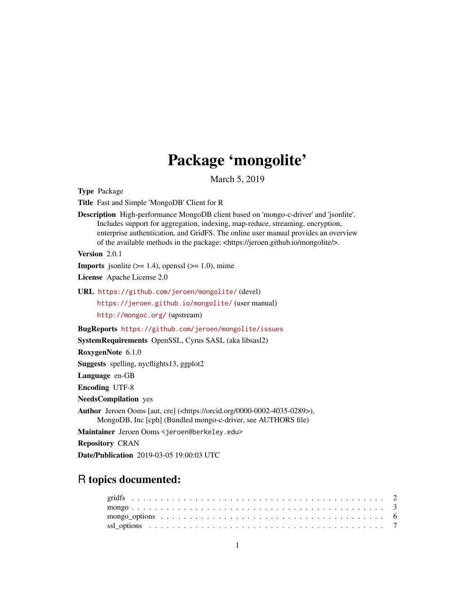## Package 'mongolite'

March 5, 2019

<span id="page-0-0"></span>Type Package

Title Fast and Simple 'MongoDB' Client for R

Description High-performance MongoDB client based on 'mongo-c-driver' and 'jsonlite'. Includes support for aggregation, indexing, map-reduce, streaming, encryption, enterprise authentication, and GridFS. The online user manual provides an overview of the available methods in the package: <https://jeroen.github.io/mongolite/>.

Version 2.0.1

**Imports** jsonlite  $(>= 1.4)$ , openssl  $(>= 1.0)$ , mime

License Apache License 2.0

URL <https://github.com/jeroen/mongolite/> (devel)

<https://jeroen.github.io/mongolite/> (user manual)

<http://mongoc.org/> (upstream)

BugReports <https://github.com/jeroen/mongolite/issues>

SystemRequirements OpenSSL, Cyrus SASL (aka libsasl2)

RoxygenNote 6.1.0

Suggests spelling, nycflights13, ggplot2

Language en-GB

Encoding UTF-8

NeedsCompilation yes

Author Jeroen Ooms [aut, cre] (<https://orcid.org/0000-0002-4035-0289>), MongoDB, Inc [cph] (Bundled mongo-c-driver, see AUTHORS file)

Maintainer Jeroen Ooms <jeroen@berkeley.edu>

Repository CRAN

Date/Publication 2019-03-05 19:00:03 UTC

### R topics documented: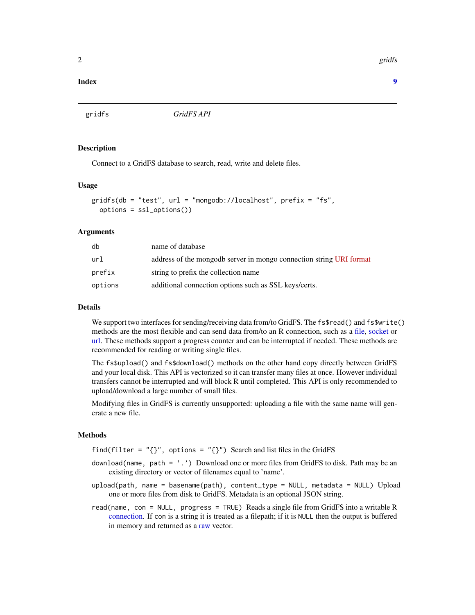#### **Index** [9](#page-8-0)

gridfs *GridFS API*

#### Description

Connect to a GridFS database to search, read, write and delete files.

#### Usage

```
gridfs(db = "test", url = "mongodb://localhost", prefix = "fs",options = ssl_options())
```
#### Arguments

| db      | name of database                                                    |
|---------|---------------------------------------------------------------------|
| url     | address of the mongodb server in mongo connection string URI format |
| prefix  | string to prefix the collection name                                |
| options | additional connection options such as SSL keys/certs.               |

#### Details

We support two interfaces for sending/receiving data from/to GridFS. The fs\$read() and fs\$write() methods are the most flexible and can send data from/to an R connection, such as a [file,](#page-0-0) [socket](#page-0-0) or [url.](#page-0-0) These methods support a progress counter and can be interrupted if needed. These methods are recommended for reading or writing single files.

The fs\$upload() and fs\$download() methods on the other hand copy directly between GridFS and your local disk. This API is vectorized so it can transfer many files at once. However individual transfers cannot be interrupted and will block R until completed. This API is only recommended to upload/download a large number of small files.

Modifying files in GridFS is currently unsupported: uploading a file with the same name will generate a new file.

#### Methods

find(filter =  $"$ {}", options =  $"$ {}") Search and list files in the GridFS

- download(name, path = '.') Download one or more files from GridFS to disk. Path may be an existing directory or vector of filenames equal to 'name'.
- upload(path, name = basename(path), content\_type = NULL, metadata = NULL) Upload one or more files from disk to GridFS. Metadata is an optional JSON string.
- read(name, con = NULL, progress = TRUE) Reads a single file from GridFS into a writable R [connection.](#page-0-0) If con is a string it is treated as a filepath; if it is NULL then the output is buffered in memory and returned as a [raw](#page-0-0) vector.

<span id="page-1-0"></span>2 gridfs and the contract of the contract of the contract of the contract of the contract of the contract of the contract of the contract of the contract of the contract of the contract of the contract of the contract of t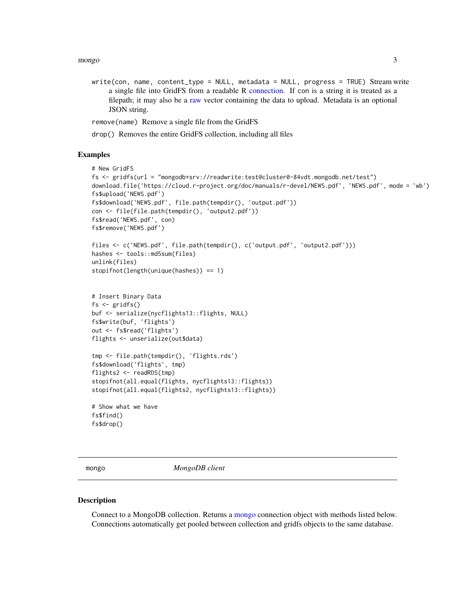<span id="page-2-0"></span>mongo 3

write(con, name, content\_type = NULL, metadata = NULL, progress = TRUE) Stream write a single file into GridFS from a readable R [connection.](#page-0-0) If con is a string it is treated as a filepath; it may also be a [raw](#page-0-0) vector containing the data to upload. Metadata is an optional JSON string.

remove(name) Remove a single file from the GridFS

drop() Removes the entire GridFS collection, including all files

#### Examples

```
# New GridFS
fs <- gridfs(url = "mongodb+srv://readwrite:test@cluster0-84vdt.mongodb.net/test")
download.file('https://cloud.r-project.org/doc/manuals/r-devel/NEWS.pdf', 'NEWS.pdf', mode = 'wb')
fs$upload('NEWS.pdf')
fs$download('NEWS.pdf', file.path(tempdir(), 'output.pdf'))
con <- file(file.path(tempdir(), 'output2.pdf'))
fs$read('NEWS.pdf', con)
fs$remove('NEWS.pdf')
files <- c('NEWS.pdf', file.path(tempdir(), c('output.pdf', 'output2.pdf')))
hashes <- tools::md5sum(files)
unlink(files)
stopifnot(length(unique(hashes)) == 1)
# Insert Binary Data
fs <- gridfs()
buf <- serialize(nycflights13::flights, NULL)
fs$write(buf, 'flights')
out <- fs$read('flights')
flights <- unserialize(out$data)
tmp <- file.path(tempdir(), 'flights.rds')
fs$download('flights', tmp)
flights2 <- readRDS(tmp)
stopifnot(all.equal(flights, nycflights13::flights))
stopifnot(all.equal(flights2, nycflights13::flights))
# Show what we have
fs$find()
fs$drop()
```
<span id="page-2-1"></span>mongo *MongoDB client*

#### Description

Connect to a MongoDB collection. Returns a [mongo](#page-2-1) connection object with methods listed below. Connections automatically get pooled between collection and gridfs objects to the same database.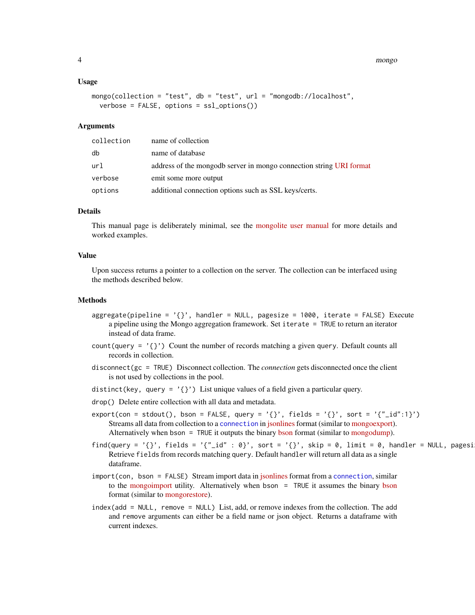#### <span id="page-3-0"></span>4 mongo

#### Usage

```
mongo(collection = "test", db = "test", url = "mongodb://localhost",
  verbose = FALSE, options = ssl_options())
```
#### Arguments

| collection | name of collection                                                  |
|------------|---------------------------------------------------------------------|
| db         | name of database                                                    |
| url        | address of the mongodb server in mongo connection string URI format |
| verbose    | emit some more output                                               |
| options    | additional connection options such as SSL keys/certs.               |

#### Details

This manual page is deliberately minimal, see the [mongolite user manual](https://jeroen.github.io/mongolite/) for more details and worked examples.

#### Value

Upon success returns a pointer to a collection on the server. The collection can be interfaced using the methods described below.

#### Methods

- aggregate(pipeline = '{}', handler = NULL, pagesize = 1000, iterate = FALSE) Execute a pipeline using the Mongo aggregation framework. Set iterate = TRUE to return an iterator instead of data frame.
- count (query =  $'$ {}') Count the number of records matching a given query. Default counts all records in collection.
- disconnect(gc = TRUE) Disconnect collection. The *connection* gets disconnected once the client is not used by collections in the pool.
- distinct(key, query =  $'$ {}') List unique values of a field given a particular query.
- drop() Delete entire collection with all data and metadata.
- export(con = stdout(), bson = FALSE, query = '{}', fields = '{}', sort = '{"\_id":1}') Streams all data from collection to a [connection](#page-0-0) in [jsonlines](http://ndjson.org) format (similar to [mongoexport\)](http://docs.mongodb.org/v2.6/reference/mongoexport/). Alternatively when [bson](http://bsonspec.org/faq.html)  $=$  TRUE it outputs the binary bson format (similar to [mongodump\)](http://docs.mongodb.org/manual/reference/program/mongodump/).
- find(query = '{}', fields = '{"\_id" : 0}', sort = '{}', skip = 0, limit = 0, handler = NULL, pagesi Retrieve fields from records matching query. Default handler will return all data as a single dataframe.
- import(con, bson = FALSE) Stream import data in [jsonlines](http://ndjson.org) format from a [connection](#page-0-0), similar to the [mongoimport](http://docs.mongodb.org/v2.6/reference/mongoimport/) utility. Alternatively when bson = TRUE it assumes the binary [bson](http://bsonspec.org/faq.html) format (similar to [mongorestore\)](http://docs.mongodb.org/manual/reference/program/mongorestore/).
- index(add = NULL, remove = NULL) List, add, or remove indexes from the collection. The add and remove arguments can either be a field name or json object. Returns a dataframe with current indexes.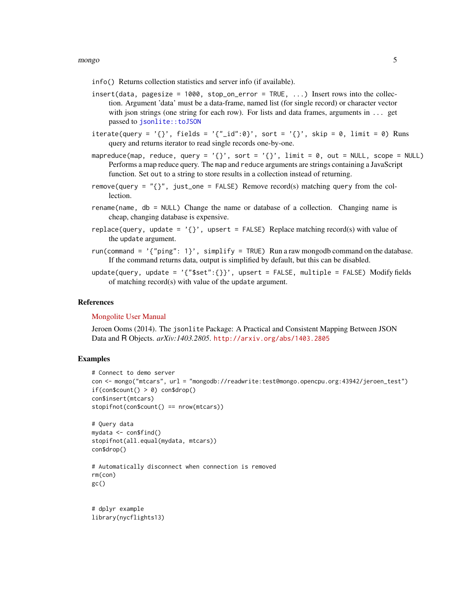#### <span id="page-4-0"></span>mongo 55 and 55 and 55 and 55 and 55 and 55 and 55 and 55 and 55 and 55 and 55 and 55 and 55 and 55 and 55 and 55 and 55 and 55 and 55 and 55 and 55 and 55 and 55 and 55 and 55 and 55 and 55 and 55 and 55 and 55 and 55 and

- info() Returns collection statistics and server info (if available).
- insert(data, pagesize =  $1000$ , stop\_on\_error = TRUE, ...) Insert rows into the collection. Argument 'data' must be a data-frame, named list (for single record) or character vector with json strings (one string for each row). For lists and data frames, arguments in  $\dots$  get passed to [jsonlite::toJSON](#page-0-0)
- iterate(query = '{}', fields = '{"\_id":0}', sort = '{}', skip = 0, limit = 0) Runs query and returns iterator to read single records one-by-one.
- mapreduce(map, reduce, query =  $'$ {}', sort =  $'$ {}', limit = 0, out = NULL, scope = NULL) Performs a map reduce query. The map and reduce arguments are strings containing a JavaScript function. Set out to a string to store results in a collection instead of returning.
- remove(query = " $\{\}$ ", just\_one = FALSE) Remove record(s) matching query from the collection.
- rename(name, db = NULL) Change the name or database of a collection. Changing name is cheap, changing database is expensive.
- replace(query, update =  $'$ {}', upsert = FALSE) Replace matching record(s) with value of the update argument.
- run(command =  $'$ {"ping": 1}', simplify = TRUE) Run a raw mongodb command on the database. If the command returns data, output is simplified by default, but this can be disabled.
- update(query, update = '{"\$set":{}}', upsert = FALSE, multiple = FALSE) Modify fields of matching record(s) with value of the update argument.

#### References

#### [Mongolite User Manual](https://jeroen.github.io/mongolite/)

Jeroen Ooms (2014). The jsonlite Package: A Practical and Consistent Mapping Between JSON Data and R Objects. *arXiv:1403.2805*. <http://arxiv.org/abs/1403.2805>

#### Examples

```
# Connect to demo server
con <- mongo("mtcars", url = "mongodb://readwrite:test@mongo.opencpu.org:43942/jeroen_test")
if(constant() > 0) con$drop()
con$insert(mtcars)
stopifnot(con$count() == nrow(mtcars))
```

```
# Query data
mydata <- con$find()
stopifnot(all.equal(mydata, mtcars))
con$drop()
```

```
# Automatically disconnect when connection is removed
rm(con)
gc()
```

```
# dplyr example
library(nycflights13)
```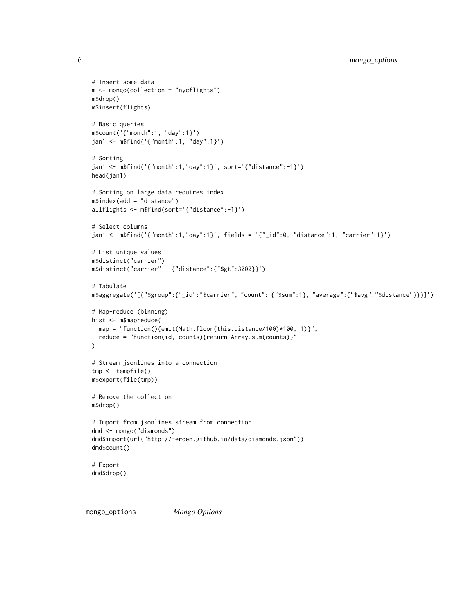```
# Insert some data
m <- mongo(collection = "nycflights")
m$drop()
m$insert(flights)
# Basic queries
m$count('{"month":1, "day":1}')
jan1 <- m$find('{"month":1, "day":1}')
# Sorting
jan1 <- m$find('{"month":1,"day":1}', sort='{"distance":-1}')
head(jan1)
# Sorting on large data requires index
m$index(add = "distance")
allflights <- m$find(sort='{"distance":-1}')
# Select columns
jan1 <- m$find('{"month":1,"day":1}', fields = '{"_id":0, "distance":1, "carrier":1}')
# List unique values
m$distinct("carrier")
m$distinct("carrier", '{"distance":{"$gt":3000}}')
# Tabulate
m$aggregate('[{"$group":{"_id":"$carrier", "count": {"$sum":1}, "average":{"$avg":"$distance"}}}]')
# Map-reduce (binning)
hist <- m$mapreduce(
 map = "function(){emit(Math.floor(this.distance/100)*100, 1)}",
  reduce = "function(id, counts){return Array.sum(counts)}"
\lambda# Stream jsonlines into a connection
tmp <- tempfile()
m$export(file(tmp))
# Remove the collection
m$drop()
# Import from jsonlines stream from connection
dmd <- mongo("diamonds")
dmd$import(url("http://jeroen.github.io/data/diamonds.json"))
dmd$count()
# Export
dmd$drop()
```

```
mongo_options Mongo Options
```
<span id="page-5-0"></span>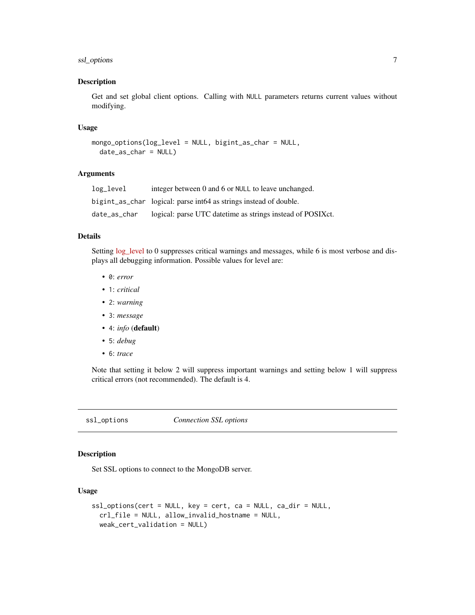#### <span id="page-6-0"></span>ssl\_options 7

#### Description

Get and set global client options. Calling with NULL parameters returns current values without modifying.

#### Usage

```
mongo_options(log_level = NULL, bigint_as_char = NULL,
  date_as_char = NULL)
```
#### Arguments

| log_level    | integer between 0 and 6 or NULL to leave unchanged.               |
|--------------|-------------------------------------------------------------------|
|              | bigint_as_char logical: parse int64 as strings instead of double. |
| date_as_char | logical: parse UTC date time as strings instead of POSIXct.       |

#### Details

Setting [log\\_level](http://mongoc.org/libmongoc/current/logging.html) to 0 suppresses critical warnings and messages, while 6 is most verbose and displays all debugging information. Possible values for level are:

- 0: *error*
- 1: *critical*
- 2: *warning*
- 3: *message*
- 4: *info* (default)
- 5: *debug*
- 6: *trace*

Note that setting it below 2 will suppress important warnings and setting below 1 will suppress critical errors (not recommended). The default is 4.

ssl\_options *Connection SSL options*

#### Description

Set SSL options to connect to the MongoDB server.

#### Usage

```
ssl_options(cert = NULL, key = cert, ca = NULL, ca_dir = NULL,
 crl_file = NULL, allow_invalid_hostname = NULL,
 weak_cert_validation = NULL)
```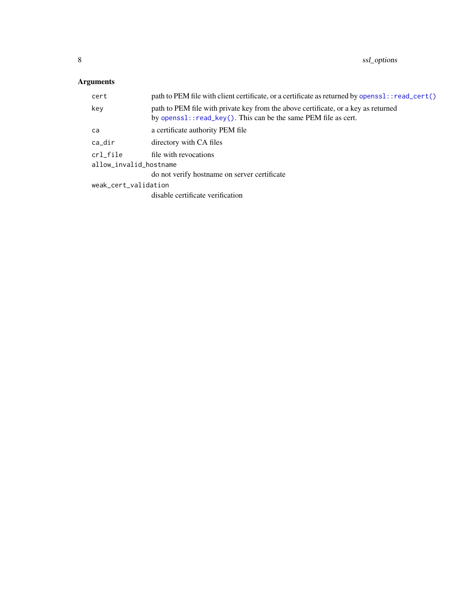#### <span id="page-7-0"></span>Arguments

| path to PEM file with client certificate, or a certificate as returned by openss1: : read_cert()                                                        |  |
|---------------------------------------------------------------------------------------------------------------------------------------------------------|--|
| path to PEM file with private key from the above certificate, or a key as returned<br>by openss $1:$ read_key(). This can be the same PEM file as cert. |  |
| a certificate authority PEM file                                                                                                                        |  |
| directory with CA files                                                                                                                                 |  |
| crl_file<br>file with revocations<br>allow_invalid_hostname                                                                                             |  |
| do not verify hostname on server certificate                                                                                                            |  |
| weak_cert_validation                                                                                                                                    |  |
| disable certificate verification                                                                                                                        |  |
|                                                                                                                                                         |  |